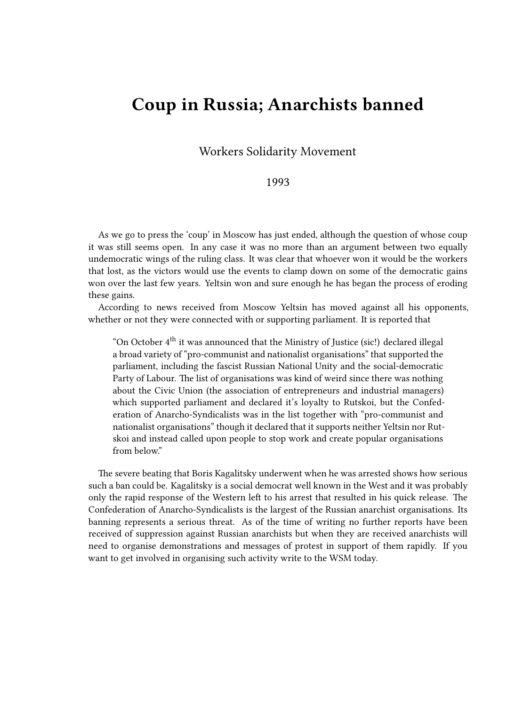## **Coup in Russia; Anarchists banned**

Workers Solidarity Movement

## 1993

As we go to press the 'coup' in Moscow has just ended, although the question of whose coup it was still seems open. In any case it was no more than an argument between two equally undemocratic wings of the ruling class. It was clear that whoever won it would be the workers that lost, as the victors would use the events to clamp down on some of the democratic gains won over the last few years. Yeltsin won and sure enough he has began the process of eroding these gains.

According to news received from Moscow Yeltsin has moved against all his opponents, whether or not they were connected with or supporting parliament. It is reported that

"On October  $4<sup>th</sup>$  it was announced that the Ministry of Justice (sic!) declared illegal a broad variety of "pro-communist and nationalist organisations" that supported the parliament, including the fascist Russian National Unity and the social-democratic Party of Labour. The list of organisations was kind of weird since there was nothing about the Civic Union (the association of entrepreneurs and industrial managers) which supported parliament and declared it's loyalty to Rutskoi, but the Confederation of Anarcho-Syndicalists was in the list together with "pro-communist and nationalist organisations" though it declared that it supports neither Yeltsin nor Rutskoi and instead called upon people to stop work and create popular organisations from below."

The severe beating that Boris Kagalitsky underwent when he was arrested shows how serious such a ban could be. Kagalitsky is a social democrat well known in the West and it was probably only the rapid response of the Western left to his arrest that resulted in his quick release. The Confederation of Anarcho-Syndicalists is the largest of the Russian anarchist organisations. Its banning represents a serious threat. As of the time of writing no further reports have been received of suppression against Russian anarchists but when they are received anarchists will need to organise demonstrations and messages of protest in support of them rapidly. If you want to get involved in organising such activity write to the WSM today.